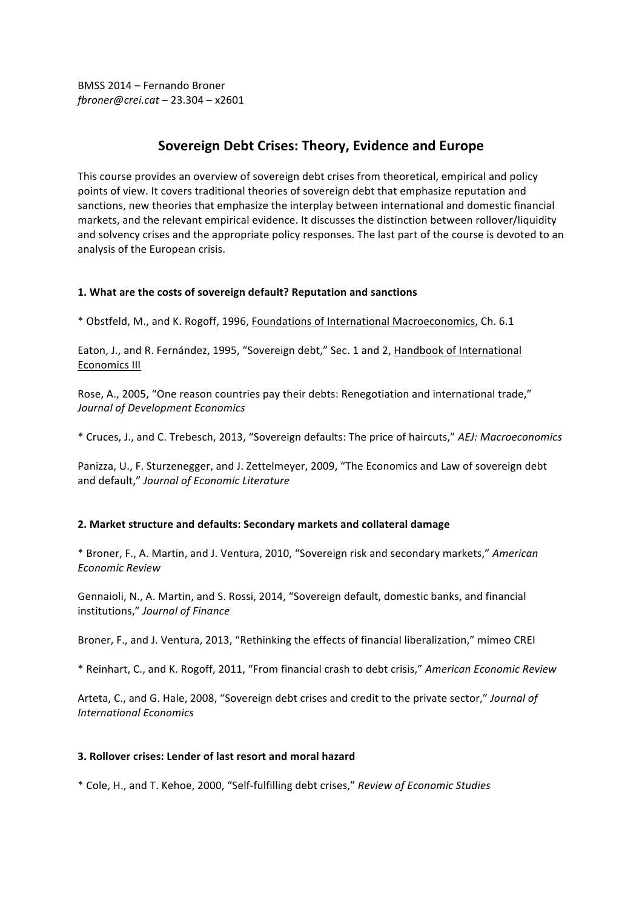BMSS 2014 – Fernando Broner *fbroner@crei.cat* – 23.304 – x2601

# **Sovereign Debt Crises: Theory, Evidence and Europe**

This course provides an overview of sovereign debt crises from theoretical, empirical and policy points of view. It covers traditional theories of sovereign debt that emphasize reputation and sanctions, new theories that emphasize the interplay between international and domestic financial markets, and the relevant empirical evidence. It discusses the distinction between rollover/liquidity and solvency crises and the appropriate policy responses. The last part of the course is devoted to an analysis of the European crisis.

### 1. What are the costs of sovereign default? Reputation and sanctions

\* Obstfeld, M., and K. Rogoff, 1996, Foundations of International Macroeconomics, Ch. 6.1

Eaton, J., and R. Fernández, 1995, "Sovereign debt," Sec. 1 and 2, Handbook of International Economics III

Rose, A., 2005, "One reason countries pay their debts: Renegotiation and international trade," *Journal of Development Economics*

\* Cruces, J., and C. Trebesch, 2013, "Sovereign defaults: The price of haircuts," *AEJ: Macroeconomics*

Panizza, U., F. Sturzenegger, and J. Zettelmeyer, 2009, "The Economics and Law of sovereign debt and default," *Journal of Economic Literature*

## **2. Market structure and defaults: Secondary markets and collateral damage**

\* Broner, F., A. Martin, and J. Ventura, 2010, "Sovereign risk and secondary markets," *American Economic Review*

Gennaioli, N., A. Martin, and S. Rossi, 2014, "Sovereign default, domestic banks, and financial institutions," *Journal of Finance*

Broner, F., and J. Ventura, 2013, "Rethinking the effects of financial liberalization," mimeo CREI

\* Reinhart, C., and K. Rogoff, 2011, "From financial crash to debt crisis," *American Economic Review*

Arteta, C., and G. Hale, 2008, "Sovereign debt crises and credit to the private sector," Journal of *International Economics*

## **3. Rollover crises: Lender of last resort and moral hazard**

\* Cole, H., and T. Kehoe, 2000, "Self-fulfilling debt crises," *Review of Economic Studies*